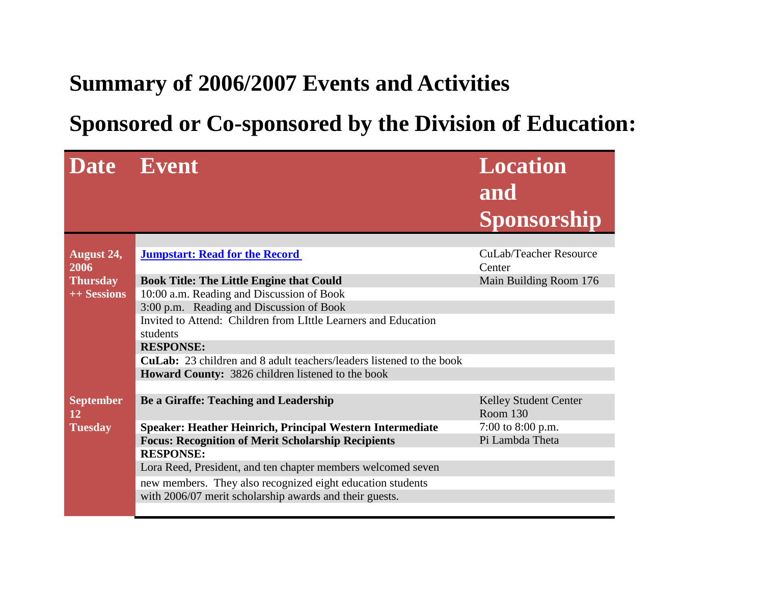## **Summary of 2006/2007 Events and Activities**

## **Sponsored or Co-sponsored by the Division of Education:**

| Date Event                    |                                                                      | <b>Location</b><br>and<br>Sponsorship    |
|-------------------------------|----------------------------------------------------------------------|------------------------------------------|
| <b>August 24,</b>             | <b>Jumpstart: Read for the Record</b>                                | <b>CuLab/Teacher Resource</b>            |
| 2006                          |                                                                      | Center                                   |
| <b>Thursday</b>               | <b>Book Title: The Little Engine that Could</b>                      | Main Building Room 176                   |
| ++ Sessions                   | 10:00 a.m. Reading and Discussion of Book                            |                                          |
|                               | 3:00 p.m. Reading and Discussion of Book                             |                                          |
|                               | Invited to Attend: Children from LIttle Learners and Education       |                                          |
|                               | students                                                             |                                          |
|                               | <b>RESPONSE:</b>                                                     |                                          |
|                               | CuLab: 23 children and 8 adult teachers/leaders listened to the book |                                          |
|                               | <b>Howard County:</b> 3826 children listened to the book             |                                          |
|                               |                                                                      |                                          |
| <b>September</b><br><b>12</b> | Be a Giraffe: Teaching and Leadership                                | <b>Kelley Student Center</b><br>Room 130 |
| <b>Tuesday</b>                | Speaker: Heather Heinrich, Principal Western Intermediate            | 7:00 to 8:00 p.m.                        |
|                               | <b>Focus: Recognition of Merit Scholarship Recipients</b>            | Pi Lambda Theta                          |
|                               | <b>RESPONSE:</b>                                                     |                                          |
|                               | Lora Reed, President, and ten chapter members welcomed seven         |                                          |
|                               | new members. They also recognized eight education students           |                                          |
|                               | with 2006/07 merit scholarship awards and their guests.              |                                          |
|                               |                                                                      |                                          |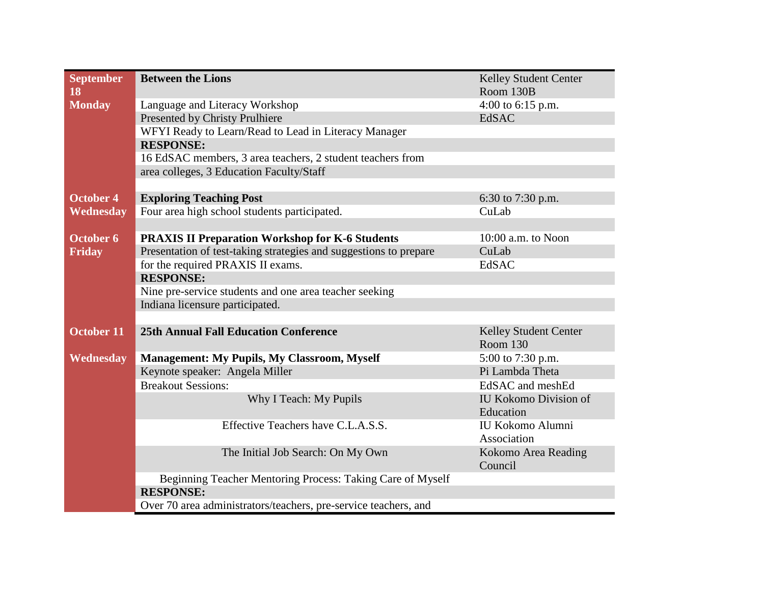| <b>September</b>  | <b>Between the Lions</b>                                                       | <b>Kelley Student Center</b> |
|-------------------|--------------------------------------------------------------------------------|------------------------------|
| 18                |                                                                                | Room 130B                    |
| <b>Monday</b>     | Language and Literacy Workshop                                                 | 4:00 to 6:15 p.m.            |
|                   | Presented by Christy Prulhiere                                                 | <b>EdSAC</b>                 |
|                   | WFYI Ready to Learn/Read to Lead in Literacy Manager                           |                              |
|                   | <b>RESPONSE:</b>                                                               |                              |
|                   | 16 EdSAC members, 3 area teachers, 2 student teachers from                     |                              |
|                   | area colleges, 3 Education Faculty/Staff                                       |                              |
|                   |                                                                                |                              |
| <b>October 4</b>  | <b>Exploring Teaching Post</b>                                                 | 6:30 to 7:30 p.m.            |
| Wednesday         | Four area high school students participated.                                   | CuLab                        |
|                   |                                                                                |                              |
| October 6         | <b>PRAXIS II Preparation Workshop for K-6 Students</b>                         | 10:00 a.m. to Noon           |
| <b>Friday</b>     | Presentation of test-taking strategies and suggestions to prepare              | CuLab                        |
|                   | for the required PRAXIS II exams.                                              | EdSAC                        |
|                   | <b>RESPONSE:</b>                                                               |                              |
|                   | Nine pre-service students and one area teacher seeking                         |                              |
|                   | Indiana licensure participated.                                                |                              |
|                   |                                                                                |                              |
| <b>October 11</b> | <b>25th Annual Fall Education Conference</b>                                   | Kelley Student Center        |
|                   |                                                                                | Room 130                     |
| Wednesday         | <b>Management: My Pupils, My Classroom, Myself</b>                             | 5:00 to 7:30 p.m.            |
|                   | Keynote speaker: Angela Miller                                                 | Pi Lambda Theta              |
|                   | <b>Breakout Sessions:</b>                                                      | EdSAC and meshEd             |
|                   | Why I Teach: My Pupils                                                         | <b>IU Kokomo Division of</b> |
|                   |                                                                                | Education                    |
|                   | Effective Teachers have C.L.A.S.S.                                             | IU Kokomo Alumni             |
|                   |                                                                                | Association                  |
|                   | The Initial Job Search: On My Own                                              | Kokomo Area Reading          |
|                   |                                                                                | Council                      |
|                   | Beginning Teacher Mentoring Process: Taking Care of Myself<br><b>RESPONSE:</b> |                              |
|                   |                                                                                |                              |
|                   | Over 70 area administrators/teachers, pre-service teachers, and                |                              |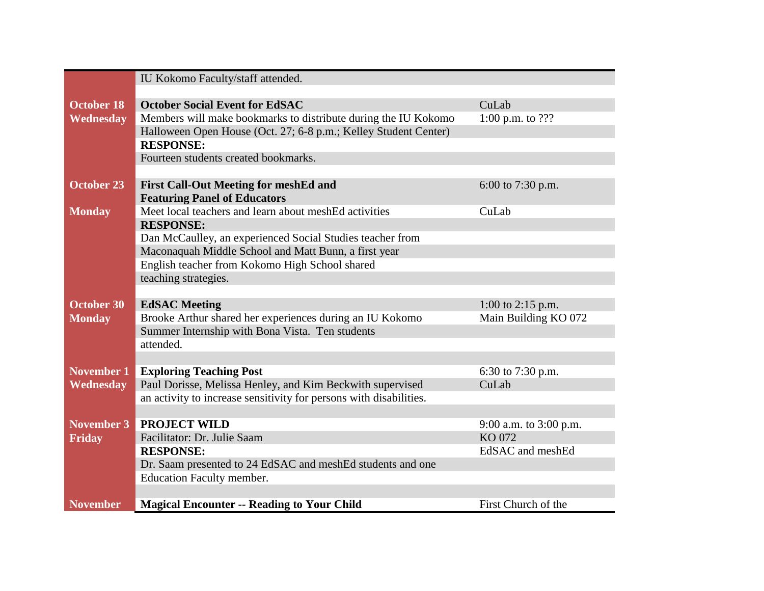|                   | IU Kokomo Faculty/staff attended.                                                           |                        |
|-------------------|---------------------------------------------------------------------------------------------|------------------------|
|                   |                                                                                             |                        |
| <b>October 18</b> | <b>October Social Event for EdSAC</b>                                                       | CuLab                  |
| Wednesday         | Members will make bookmarks to distribute during the IU Kokomo                              | 1:00 p.m. to $???$     |
|                   | Halloween Open House (Oct. 27; 6-8 p.m.; Kelley Student Center)                             |                        |
|                   | <b>RESPONSE:</b>                                                                            |                        |
|                   | Fourteen students created bookmarks.                                                        |                        |
|                   |                                                                                             |                        |
| <b>October 23</b> | <b>First Call-Out Meeting for meshEd and</b>                                                | 6:00 to 7:30 p.m.      |
|                   | <b>Featuring Panel of Educators</b>                                                         |                        |
| <b>Monday</b>     | Meet local teachers and learn about meshEd activities                                       | CuLab                  |
|                   | <b>RESPONSE:</b>                                                                            |                        |
|                   | Dan McCaulley, an experienced Social Studies teacher from                                   |                        |
|                   | Maconaquah Middle School and Matt Bunn, a first year                                        |                        |
|                   | English teacher from Kokomo High School shared                                              |                        |
|                   | teaching strategies.                                                                        |                        |
|                   |                                                                                             |                        |
| <b>October 30</b> | <b>EdSAC</b> Meeting                                                                        | 1:00 to 2:15 p.m.      |
| <b>Monday</b>     | Brooke Arthur shared her experiences during an IU Kokomo                                    | Main Building KO 072   |
|                   | Summer Internship with Bona Vista. Ten students                                             |                        |
|                   | attended.                                                                                   |                        |
| <b>November 1</b> |                                                                                             | 6:30 to 7:30 p.m.      |
| Wednesday         | <b>Exploring Teaching Post</b><br>Paul Dorisse, Melissa Henley, and Kim Beckwith supervised | CuLab                  |
|                   | an activity to increase sensitivity for persons with disabilities.                          |                        |
|                   |                                                                                             |                        |
| November 3        | <b>PROJECT WILD</b>                                                                         | 9:00 a.m. to 3:00 p.m. |
| Friday            | Facilitator: Dr. Julie Saam                                                                 | KO 072                 |
|                   | <b>RESPONSE:</b>                                                                            | EdSAC and meshEd       |
|                   | Dr. Saam presented to 24 EdSAC and meshEd students and one                                  |                        |
|                   | <b>Education Faculty member.</b>                                                            |                        |
|                   |                                                                                             |                        |
| <b>November</b>   | <b>Magical Encounter -- Reading to Your Child</b>                                           | First Church of the    |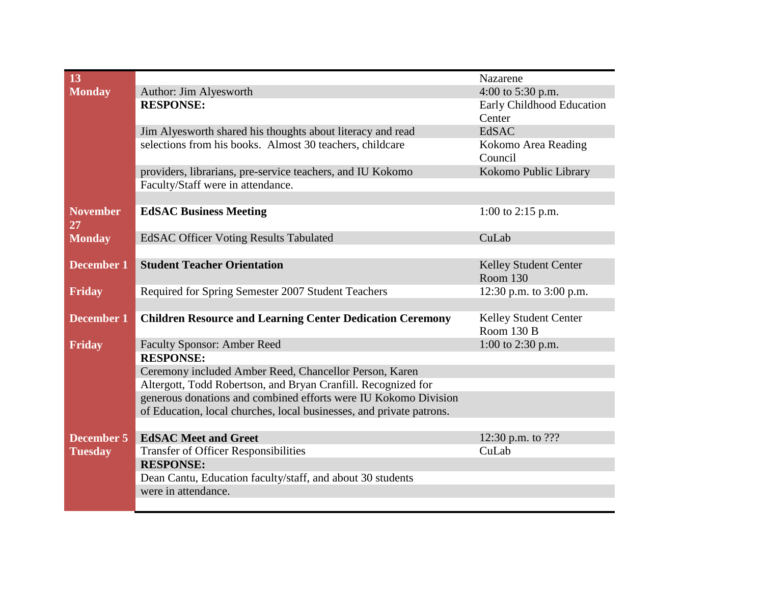| 13                |                                                                      | Nazarene                            |
|-------------------|----------------------------------------------------------------------|-------------------------------------|
| <b>Monday</b>     | Author: Jim Alyesworth                                               | 4:00 to 5:30 p.m.                   |
|                   | <b>RESPONSE:</b>                                                     | Early Childhood Education           |
|                   |                                                                      | Center                              |
|                   | Jim Alyesworth shared his thoughts about literacy and read           | EdSAC                               |
|                   | selections from his books. Almost 30 teachers, childcare             | Kokomo Area Reading                 |
|                   |                                                                      | Council                             |
|                   | providers, librarians, pre-service teachers, and IU Kokomo           | Kokomo Public Library               |
|                   | Faculty/Staff were in attendance.                                    |                                     |
|                   |                                                                      |                                     |
| <b>November</b>   | <b>EdSAC Business Meeting</b>                                        | 1:00 to 2:15 p.m.                   |
| 27                |                                                                      |                                     |
| <b>Monday</b>     | <b>EdSAC Officer Voting Results Tabulated</b>                        | CuLab                               |
|                   |                                                                      |                                     |
| <b>December 1</b> | <b>Student Teacher Orientation</b>                                   | Kelley Student Center               |
|                   |                                                                      | Room 130                            |
| <b>Friday</b>     | Required for Spring Semester 2007 Student Teachers                   | 12:30 p.m. to 3:00 p.m.             |
|                   |                                                                      |                                     |
| <b>December 1</b> | <b>Children Resource and Learning Center Dedication Ceremony</b>     | Kelley Student Center<br>Room 130 B |
|                   |                                                                      | 1:00 to 2:30 p.m.                   |
| Friday            | <b>Faculty Sponsor: Amber Reed</b><br><b>RESPONSE:</b>               |                                     |
|                   | Ceremony included Amber Reed, Chancellor Person, Karen               |                                     |
|                   | Altergott, Todd Robertson, and Bryan Cranfill. Recognized for        |                                     |
|                   | generous donations and combined efforts were IU Kokomo Division      |                                     |
|                   | of Education, local churches, local businesses, and private patrons. |                                     |
|                   |                                                                      |                                     |
| <b>December 5</b> | <b>EdSAC Meet and Greet</b>                                          | 12:30 p.m. to ???                   |
| <b>Tuesday</b>    | <b>Transfer of Officer Responsibilities</b>                          | CuLab                               |
|                   | <b>RESPONSE:</b>                                                     |                                     |
|                   | Dean Cantu, Education faculty/staff, and about 30 students           |                                     |
|                   | were in attendance.                                                  |                                     |
|                   |                                                                      |                                     |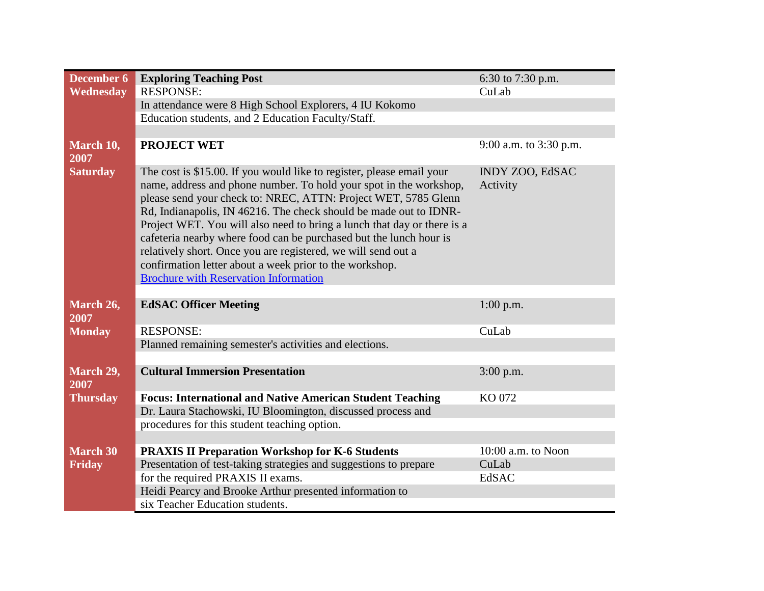| <b>December 6</b> | <b>Exploring Teaching Post</b>                                                                                                                                                                                                                                                                                                                                                                                                                                                                                                                                                                                  | 6:30 to 7:30 p.m.                  |
|-------------------|-----------------------------------------------------------------------------------------------------------------------------------------------------------------------------------------------------------------------------------------------------------------------------------------------------------------------------------------------------------------------------------------------------------------------------------------------------------------------------------------------------------------------------------------------------------------------------------------------------------------|------------------------------------|
| Wednesday         | <b>RESPONSE:</b>                                                                                                                                                                                                                                                                                                                                                                                                                                                                                                                                                                                                | CuLab                              |
|                   | In attendance were 8 High School Explorers, 4 IU Kokomo                                                                                                                                                                                                                                                                                                                                                                                                                                                                                                                                                         |                                    |
|                   | Education students, and 2 Education Faculty/Staff.                                                                                                                                                                                                                                                                                                                                                                                                                                                                                                                                                              |                                    |
|                   |                                                                                                                                                                                                                                                                                                                                                                                                                                                                                                                                                                                                                 |                                    |
| March 10,<br>2007 | <b>PROJECT WET</b>                                                                                                                                                                                                                                                                                                                                                                                                                                                                                                                                                                                              | 9:00 a.m. to 3:30 p.m.             |
| <b>Saturday</b>   | The cost is \$15.00. If you would like to register, please email your<br>name, address and phone number. To hold your spot in the workshop,<br>please send your check to: NREC, ATTN: Project WET, 5785 Glenn<br>Rd, Indianapolis, IN 46216. The check should be made out to IDNR-<br>Project WET. You will also need to bring a lunch that day or there is a<br>cafeteria nearby where food can be purchased but the lunch hour is<br>relatively short. Once you are registered, we will send out a<br>confirmation letter about a week prior to the workshop.<br><b>Brochure with Reservation Information</b> | <b>INDY ZOO, EdSAC</b><br>Activity |
|                   |                                                                                                                                                                                                                                                                                                                                                                                                                                                                                                                                                                                                                 |                                    |
| March 26,<br>2007 | <b>EdSAC Officer Meeting</b>                                                                                                                                                                                                                                                                                                                                                                                                                                                                                                                                                                                    | $1:00$ p.m.                        |
| <b>Monday</b>     | <b>RESPONSE:</b>                                                                                                                                                                                                                                                                                                                                                                                                                                                                                                                                                                                                | CuLab                              |
|                   | Planned remaining semester's activities and elections.                                                                                                                                                                                                                                                                                                                                                                                                                                                                                                                                                          |                                    |
|                   |                                                                                                                                                                                                                                                                                                                                                                                                                                                                                                                                                                                                                 |                                    |
| March 29,<br>2007 | <b>Cultural Immersion Presentation</b>                                                                                                                                                                                                                                                                                                                                                                                                                                                                                                                                                                          | $3:00$ p.m.                        |
| <b>Thursday</b>   | <b>Focus: International and Native American Student Teaching</b>                                                                                                                                                                                                                                                                                                                                                                                                                                                                                                                                                | KO 072                             |
|                   | Dr. Laura Stachowski, IU Bloomington, discussed process and                                                                                                                                                                                                                                                                                                                                                                                                                                                                                                                                                     |                                    |
|                   | procedures for this student teaching option.                                                                                                                                                                                                                                                                                                                                                                                                                                                                                                                                                                    |                                    |
|                   |                                                                                                                                                                                                                                                                                                                                                                                                                                                                                                                                                                                                                 |                                    |
| <b>March 30</b>   | <b>PRAXIS II Preparation Workshop for K-6 Students</b>                                                                                                                                                                                                                                                                                                                                                                                                                                                                                                                                                          | 10:00 a.m. to Noon                 |
| <b>Friday</b>     | Presentation of test-taking strategies and suggestions to prepare                                                                                                                                                                                                                                                                                                                                                                                                                                                                                                                                               | CuLab                              |
|                   | for the required PRAXIS II exams.                                                                                                                                                                                                                                                                                                                                                                                                                                                                                                                                                                               | EdSAC                              |
|                   | Heidi Pearcy and Brooke Arthur presented information to                                                                                                                                                                                                                                                                                                                                                                                                                                                                                                                                                         |                                    |
|                   | six Teacher Education students.                                                                                                                                                                                                                                                                                                                                                                                                                                                                                                                                                                                 |                                    |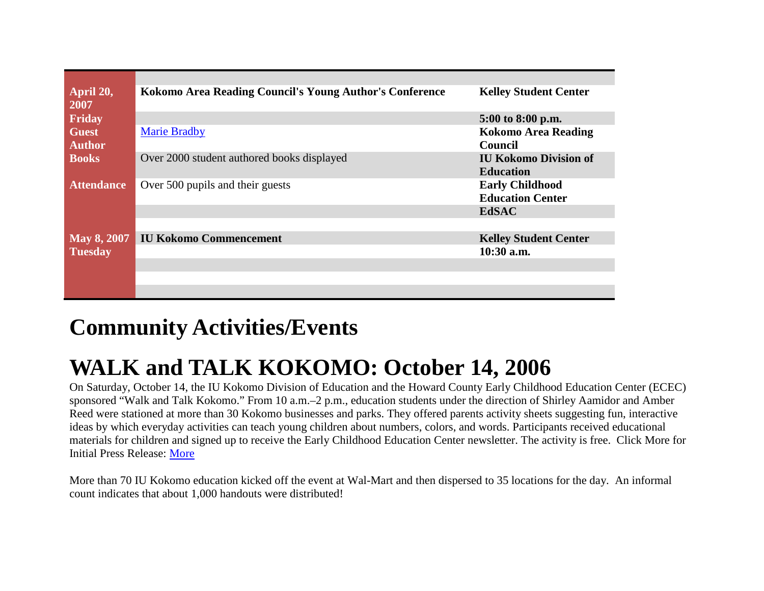| April 20,<br>2007             | Kokomo Area Reading Council's Young Author's Conference | <b>Kelley Student Center</b>                      |
|-------------------------------|---------------------------------------------------------|---------------------------------------------------|
| Friday                        |                                                         | 5:00 to 8:00 p.m.                                 |
| <b>Guest</b><br><b>Author</b> | <b>Marie Bradby</b>                                     | <b>Kokomo Area Reading</b><br><b>Council</b>      |
| <b>Books</b>                  | Over 2000 student authored books displayed              | <b>IU Kokomo Division of</b><br><b>Education</b>  |
| <b>Attendance</b>             | Over 500 pupils and their guests                        | <b>Early Childhood</b><br><b>Education Center</b> |
|                               |                                                         | <b>EdSAC</b>                                      |
| $\text{May } 8, 2007$         | <b>IU Kokomo Commencement</b>                           | <b>Kelley Student Center</b>                      |
| <b>Tuesday</b>                |                                                         | $10:30$ a.m.                                      |
|                               |                                                         |                                                   |
|                               |                                                         |                                                   |
|                               |                                                         |                                                   |

## **Community Activities/Events**

## **WALK and TALK KOKOMO: October 14, 2006**

On Saturday, October 14, the IU Kokomo Division of Education and the Howard County Early Childhood Education Center (ECEC) sponsored "Walk and Talk Kokomo." From 10 a.m.–2 p.m., education students under the direction of Shirley Aamidor and Amber Reed were stationed at more than 30 Kokomo businesses and parks. They offered parents activity sheets suggesting fun, interactive ideas by which everyday activities can teach young children about numbers, colors, and words. Participants received educational materials for children and signed up to receive the Early Childhood Education Center newsletter. The activity is free. Click More for Initial Press Release: [More](http://www.iuk.edu/~koocm/sep06/walkandtalk.shtml) 

More than 70 IU Kokomo education kicked off the event at Wal-Mart and then dispersed to 35 locations for the day. An informal count indicates that about 1,000 handouts were distributed!